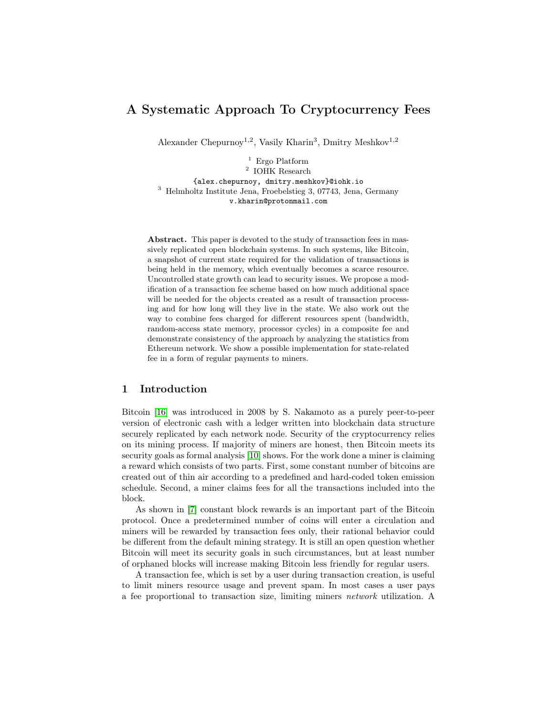# A Systematic Approach To Cryptocurrency Fees

Alexander Chepurnoy<sup>1,2</sup>, Vasily Kharin<sup>3</sup>, Dmitry Meshkov<sup>1,2</sup>

<sup>1</sup> Ergo Platform 2 IOHK Research {alex.chepurnoy, dmitry.meshkov}@iohk.io <sup>3</sup> Helmholtz Institute Jena, Froebelstieg 3, 07743, Jena, Germany v.kharin@protonmail.com

Abstract. This paper is devoted to the study of transaction fees in massively replicated open blockchain systems. In such systems, like Bitcoin, a snapshot of current state required for the validation of transactions is being held in the memory, which eventually becomes a scarce resource. Uncontrolled state growth can lead to security issues. We propose a modification of a transaction fee scheme based on how much additional space will be needed for the objects created as a result of transaction processing and for how long will they live in the state. We also work out the way to combine fees charged for different resources spent (bandwidth, random-access state memory, processor cycles) in a composite fee and demonstrate consistency of the approach by analyzing the statistics from Ethereum network. We show a possible implementation for state-related fee in a form of regular payments to miners.

### 1 Introduction

Bitcoin [\[16\]](#page-11-0) was introduced in 2008 by S. Nakamoto as a purely peer-to-peer version of electronic cash with a ledger written into blockchain data structure securely replicated by each network node. Security of the cryptocurrency relies on its mining process. If majority of miners are honest, then Bitcoin meets its security goals as formal analysis [\[10\]](#page-11-1) shows. For the work done a miner is claiming a reward which consists of two parts. First, some constant number of bitcoins are created out of thin air according to a predefined and hard-coded token emission schedule. Second, a miner claims fees for all the transactions included into the block.

As shown in [\[7\]](#page-11-2) constant block rewards is an important part of the Bitcoin protocol. Once a predetermined number of coins will enter a circulation and miners will be rewarded by transaction fees only, their rational behavior could be different from the default mining strategy. It is still an open question whether Bitcoin will meet its security goals in such circumstances, but at least number of orphaned blocks will increase making Bitcoin less friendly for regular users.

A transaction fee, which is set by a user during transaction creation, is useful to limit miners resource usage and prevent spam. In most cases a user pays a fee proportional to transaction size, limiting miners network utilization. A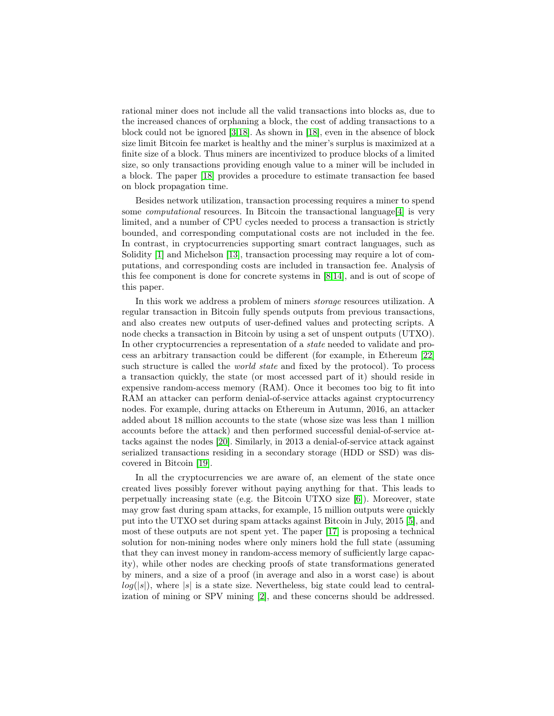rational miner does not include all the valid transactions into blocks as, due to the increased chances of orphaning a block, the cost of adding transactions to a block could not be ignored [\[3,](#page-10-0)[18\]](#page-11-3). As shown in [\[18\]](#page-11-3), even in the absence of block size limit Bitcoin fee market is healthy and the miner's surplus is maximized at a finite size of a block. Thus miners are incentivized to produce blocks of a limited size, so only transactions providing enough value to a miner will be included in a block. The paper [\[18\]](#page-11-3) provides a procedure to estimate transaction fee based on block propagation time.

Besides network utilization, transaction processing requires a miner to spend some *computational* resources. In Bitcoin the transactional language [\[4\]](#page-10-1) is very limited, and a number of CPU cycles needed to process a transaction is strictly bounded, and corresponding computational costs are not included in the fee. In contrast, in cryptocurrencies supporting smart contract languages, such as Solidity [\[1\]](#page-10-2) and Michelson [\[13\]](#page-11-4), transaction processing may require a lot of computations, and corresponding costs are included in transaction fee. Analysis of this fee component is done for concrete systems in [\[8](#page-11-5)[,14\]](#page-11-6), and is out of scope of this paper.

In this work we address a problem of miners storage resources utilization. A regular transaction in Bitcoin fully spends outputs from previous transactions, and also creates new outputs of user-defined values and protecting scripts. A node checks a transaction in Bitcoin by using a set of unspent outputs (UTXO). In other cryptocurrencies a representation of a state needed to validate and process an arbitrary transaction could be different (for example, in Ethereum [\[22\]](#page-11-7) such structure is called the *world state* and fixed by the protocol). To process a transaction quickly, the state (or most accessed part of it) should reside in expensive random-access memory (RAM). Once it becomes too big to fit into RAM an attacker can perform denial-of-service attacks against cryptocurrency nodes. For example, during attacks on Ethereum in Autumn, 2016, an attacker added about 18 million accounts to the state (whose size was less than 1 million accounts before the attack) and then performed successful denial-of-service attacks against the nodes [\[20\]](#page-11-8). Similarly, in 2013 a denial-of-service attack against serialized transactions residing in a secondary storage (HDD or SSD) was discovered in Bitcoin [\[19\]](#page-11-9).

In all the cryptocurrencies we are aware of, an element of the state once created lives possibly forever without paying anything for that. This leads to perpetually increasing state (e.g. the Bitcoin UTXO size [\[6\]](#page-10-3)). Moreover, state may grow fast during spam attacks, for example, 15 million outputs were quickly put into the UTXO set during spam attacks against Bitcoin in July, 2015 [\[5\]](#page-10-4), and most of these outputs are not spent yet. The paper [\[17\]](#page-11-10) is proposing a technical solution for non-mining nodes where only miners hold the full state (assuming that they can invest money in random-access memory of sufficiently large capacity), while other nodes are checking proofs of state transformations generated by miners, and a size of a proof (in average and also in a worst case) is about  $log(|s|)$ , where |s| is a state size. Nevertheless, big state could lead to centralization of mining or SPV mining [\[2\]](#page-10-5), and these concerns should be addressed.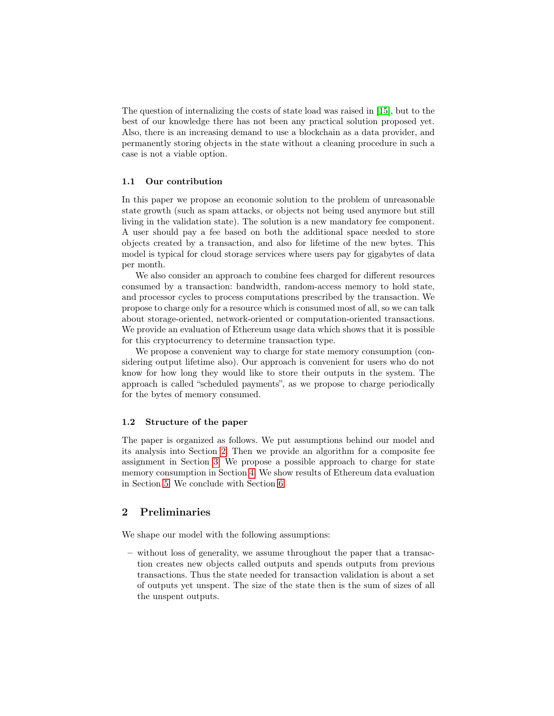The question of internalizing the costs of state load was raised in [\[15\]](#page-11-11), but to the best of our knowledge there has not been any practical solution proposed yet. Also, there is an increasing demand to use a blockchain as a data provider, and permanently storing objects in the state without a cleaning procedure in such a case is not a viable option.

### 1.1 Our contribution

In this paper we propose an economic solution to the problem of unreasonable state growth (such as spam attacks, or objects not being used anymore but still living in the validation state). The solution is a new mandatory fee component. A user should pay a fee based on both the additional space needed to store objects created by a transaction, and also for lifetime of the new bytes. This model is typical for cloud storage services where users pay for gigabytes of data per month.

We also consider an approach to combine fees charged for different resources consumed by a transaction: bandwidth, random-access memory to hold state, and processor cycles to process computations prescribed by the transaction. We propose to charge only for a resource which is consumed most of all, so we can talk about storage-oriented, network-oriented or computation-oriented transactions. We provide an evaluation of Ethereum usage data which shows that it is possible for this cryptocurrency to determine transaction type.

We propose a convenient way to charge for state memory consumption (considering output lifetime also). Our approach is convenient for users who do not know for how long they would like to store their outputs in the system. The approach is called "scheduled payments", as we propose to charge periodically for the bytes of memory consumed.

### 1.2 Structure of the paper

The paper is organized as follows. We put assumptions behind our model and its analysis into Section [2.](#page-2-0) Then we provide an algorithm for a composite fee assignment in Section [3.](#page-3-0) We propose a possible approach to charge for state memory consumption in Section [4.](#page-7-0) We show results of Ethereum data evaluation in Section [5.](#page-8-0) We conclude with Section [6.](#page-10-6)

## <span id="page-2-0"></span>2 Preliminaries

We shape our model with the following assumptions:

– without loss of generality, we assume throughout the paper that a transaction creates new objects called outputs and spends outputs from previous transactions. Thus the state needed for transaction validation is about a set of outputs yet unspent. The size of the state then is the sum of sizes of all the unspent outputs.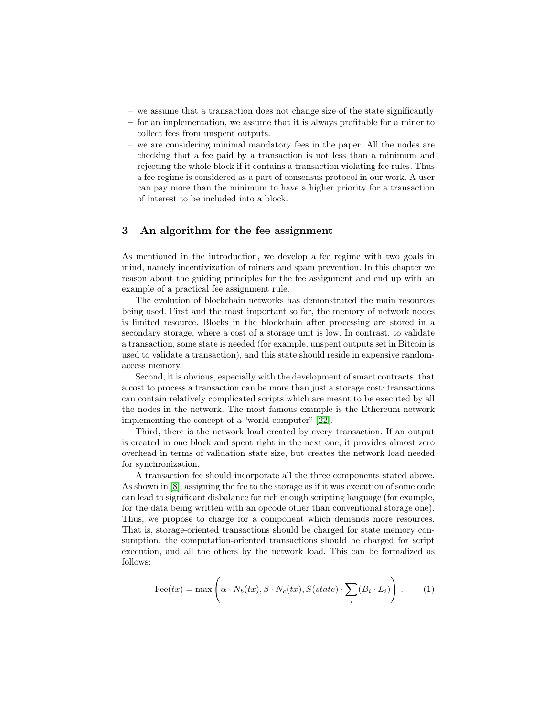- we assume that a transaction does not change size of the state significantly
- for an implementation, we assume that it is always profitable for a miner to collect fees from unspent outputs.
- we are considering minimal mandatory fees in the paper. All the nodes are checking that a fee paid by a transaction is not less than a minimum and rejecting the whole block if it contains a transaction violating fee rules. Thus a fee regime is considered as a part of consensus protocol in our work. A user can pay more than the minimum to have a higher priority for a transaction of interest to be included into a block.

## <span id="page-3-0"></span>3 An algorithm for the fee assignment

As mentioned in the introduction, we develop a fee regime with two goals in mind, namely incentivization of miners and spam prevention. In this chapter we reason about the guiding principles for the fee assignment and end up with an example of a practical fee assignment rule.

The evolution of blockchain networks has demonstrated the main resources being used. First and the most important so far, the memory of network nodes is limited resource. Blocks in the blockchain after processing are stored in a secondary storage, where a cost of a storage unit is low. In contrast, to validate a transaction, some state is needed (for example, unspent outputs set in Bitcoin is used to validate a transaction), and this state should reside in expensive randomaccess memory.

Second, it is obvious, especially with the development of smart contracts, that a cost to process a transaction can be more than just a storage cost: transactions can contain relatively complicated scripts which are meant to be executed by all the nodes in the network. The most famous example is the Ethereum network implementing the concept of a "world computer" [\[22\]](#page-11-7).

Third, there is the network load created by every transaction. If an output is created in one block and spent right in the next one, it provides almost zero overhead in terms of validation state size, but creates the network load needed for synchronization.

A transaction fee should incorporate all the three components stated above. As shown in [\[8\]](#page-11-5), assigning the fee to the storage as if it was execution of some code can lead to significant disbalance for rich enough scripting language (for example, for the data being written with an opcode other than conventional storage one). Thus, we propose to charge for a component which demands more resources. That is, storage-oriented transactions should be charged for state memory consumption, the computation-oriented transactions should be charged for script execution, and all the others by the network load. This can be formalized as follows:

<span id="page-3-1"></span>
$$
Fee(tx) = \max \left( \alpha \cdot N_b(tx), \beta \cdot N_c(tx), S(state) \cdot \sum_i (B_i \cdot L_i) \right). \tag{1}
$$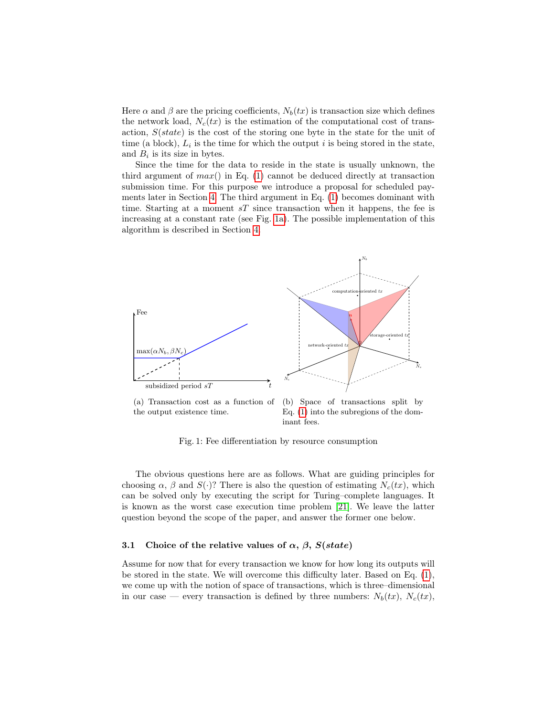Here  $\alpha$  and  $\beta$  are the pricing coefficients,  $N_b(tx)$  is transaction size which defines the network load,  $N_c(tx)$  is the estimation of the computational cost of transaction, S(state) is the cost of the storing one byte in the state for the unit of time (a block),  $L_i$  is the time for which the output i is being stored in the state, and  $B_i$  is its size in bytes.

Since the time for the data to reside in the state is usually unknown, the third argument of  $max()$  in Eq. [\(1\)](#page-3-1) cannot be deduced directly at transaction submission time. For this purpose we introduce a proposal for scheduled payments later in Section [4.](#page-7-0) The third argument in Eq. [\(1\)](#page-3-1) becomes dominant with time. Starting at a moment  $sT$  since transaction when it happens, the fee is increasing at a constant rate (see Fig. [1a\)](#page-4-0). The possible implementation of this algorithm is described in Section [4.](#page-7-0)

<span id="page-4-0"></span>

Fig. 1: Fee differentiation by resource consumption

inant fees.

The obvious questions here are as follows. What are guiding principles for choosing  $\alpha$ ,  $\beta$  and  $S(\cdot)$ ? There is also the question of estimating  $N_c(tx)$ , which can be solved only by executing the script for Turing–complete languages. It is known as the worst case execution time problem [\[21\]](#page-11-12). We leave the latter question beyond the scope of the paper, and answer the former one below.

#### 3.1 Choice of the relative values of  $\alpha$ ,  $\beta$ ,  $S(state)$

Assume for now that for every transaction we know for how long its outputs will be stored in the state. We will overcome this difficulty later. Based on Eq. [\(1\)](#page-3-1), we come up with the notion of space of transactions, which is three–dimensional in our case — every transaction is defined by three numbers:  $N_b(tx)$ ,  $N_c(tx)$ ,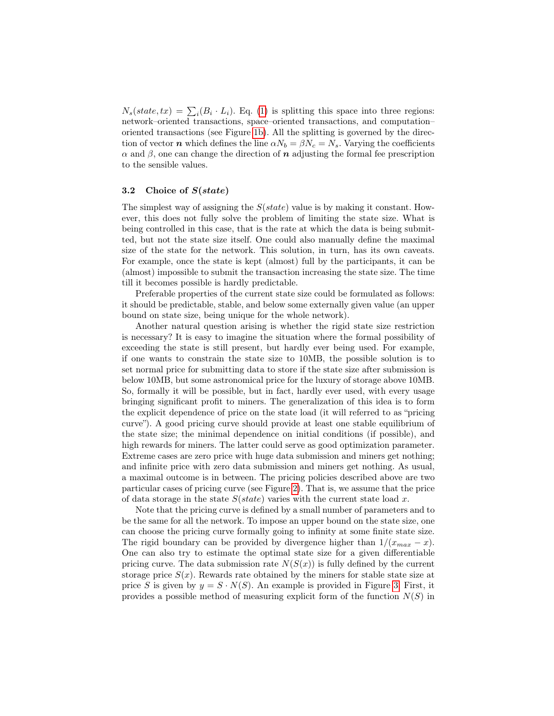$N_s(state, tx) = \sum_i (B_i \cdot L_i)$ . Eq. [\(1\)](#page-3-1) is splitting this space into three regions: network–oriented transactions, space–oriented transactions, and computation– oriented transactions (see Figure [1b\)](#page-4-0). All the splitting is governed by the direction of vector *n* which defines the line  $\alpha N_b = \beta N_c = N_s$ . Varying the coefficients  $\alpha$  and  $\beta$ , one can change the direction of n adjusting the formal fee prescription to the sensible values.

### 3.2 Choice of S(state)

The simplest way of assigning the  $S(state)$  value is by making it constant. However, this does not fully solve the problem of limiting the state size. What is being controlled in this case, that is the rate at which the data is being submitted, but not the state size itself. One could also manually define the maximal size of the state for the network. This solution, in turn, has its own caveats. For example, once the state is kept (almost) full by the participants, it can be (almost) impossible to submit the transaction increasing the state size. The time till it becomes possible is hardly predictable.

Preferable properties of the current state size could be formulated as follows: it should be predictable, stable, and below some externally given value (an upper bound on state size, being unique for the whole network).

Another natural question arising is whether the rigid state size restriction is necessary? It is easy to imagine the situation where the formal possibility of exceeding the state is still present, but hardly ever being used. For example, if one wants to constrain the state size to 10MB, the possible solution is to set normal price for submitting data to store if the state size after submission is below 10MB, but some astronomical price for the luxury of storage above 10MB. So, formally it will be possible, but in fact, hardly ever used, with every usage bringing significant profit to miners. The generalization of this idea is to form the explicit dependence of price on the state load (it will referred to as "pricing curve"). A good pricing curve should provide at least one stable equilibrium of the state size; the minimal dependence on initial conditions (if possible), and high rewards for miners. The latter could serve as good optimization parameter. Extreme cases are zero price with huge data submission and miners get nothing; and infinite price with zero data submission and miners get nothing. As usual, a maximal outcome is in between. The pricing policies described above are two particular cases of pricing curve (see Figure [2\)](#page-6-0). That is, we assume that the price of data storage in the state  $S(state)$  varies with the current state load x.

Note that the pricing curve is defined by a small number of parameters and to be the same for all the network. To impose an upper bound on the state size, one can choose the pricing curve formally going to infinity at some finite state size. The rigid boundary can be provided by divergence higher than  $1/(x_{max} - x)$ . One can also try to estimate the optimal state size for a given differentiable pricing curve. The data submission rate  $N(S(x))$  is fully defined by the current storage price  $S(x)$ . Rewards rate obtained by the miners for stable state size at price S is given by  $y = S \cdot N(S)$ . An example is provided in Figure [3.](#page-7-1) First, it provides a possible method of measuring explicit form of the function  $N(S)$  in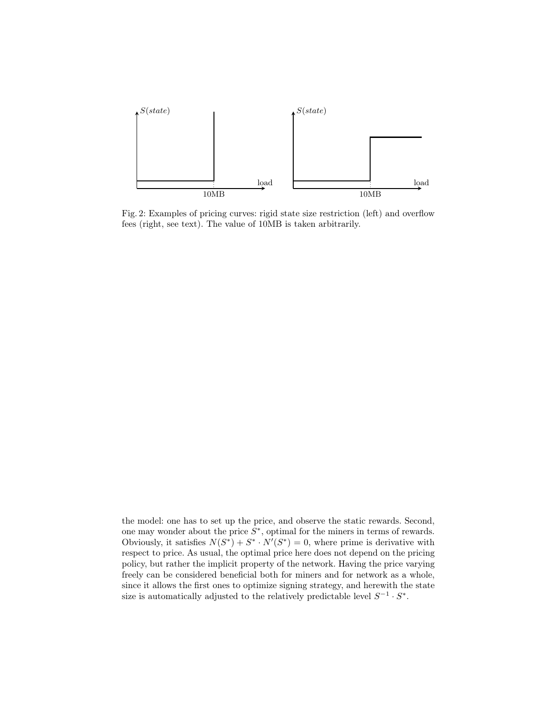<span id="page-6-0"></span>

Fig. 2: Examples of pricing curves: rigid state size restriction (left) and overflow fees (right, see text). The value of 10MB is taken arbitrarily.

the model: one has to set up the price, and observe the static rewards. Second, one may wonder about the price  $S^*$ , optimal for the miners in terms of rewards. Obviously, it satisfies  $N(S^*) + S^* \cdot N'(S^*) = 0$ , where prime is derivative with respect to price. As usual, the optimal price here does not depend on the pricing policy, but rather the implicit property of the network. Having the price varying freely can be considered beneficial both for miners and for network as a whole, since it allows the first ones to optimize signing strategy, and herewith the state size is automatically adjusted to the relatively predictable level  $S^{-1} \cdot S^*$ .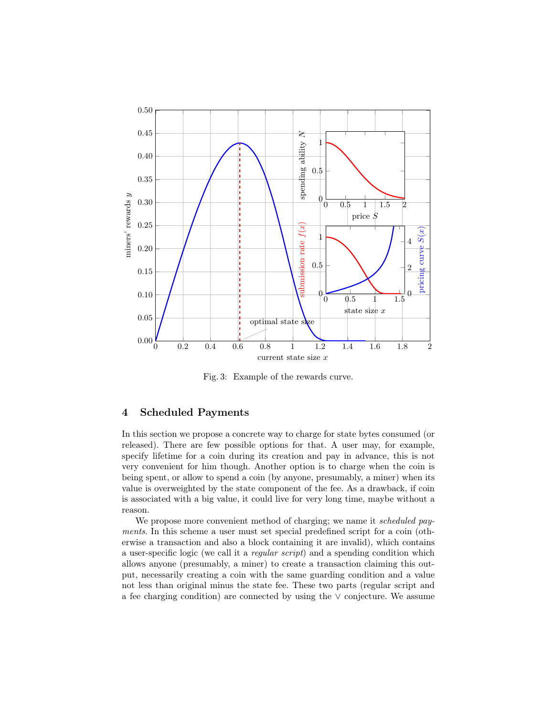<span id="page-7-1"></span>

Fig. 3: Example of the rewards curve.

## <span id="page-7-0"></span>4 Scheduled Payments

In this section we propose a concrete way to charge for state bytes consumed (or released). There are few possible options for that. A user may, for example, specify lifetime for a coin during its creation and pay in advance, this is not very convenient for him though. Another option is to charge when the coin is being spent, or allow to spend a coin (by anyone, presumably, a miner) when its value is overweighted by the state component of the fee. As a drawback, if coin is associated with a big value, it could live for very long time, maybe without a reason.

We propose more convenient method of charging; we name it scheduled payments. In this scheme a user must set special predefined script for a coin (otherwise a transaction and also a block containing it are invalid), which contains a user-specific logic (we call it a regular script) and a spending condition which allows anyone (presumably, a miner) to create a transaction claiming this output, necessarily creating a coin with the same guarding condition and a value not less than original minus the state fee. These two parts (regular script and a fee charging condition) are connected by using the ∨ conjecture. We assume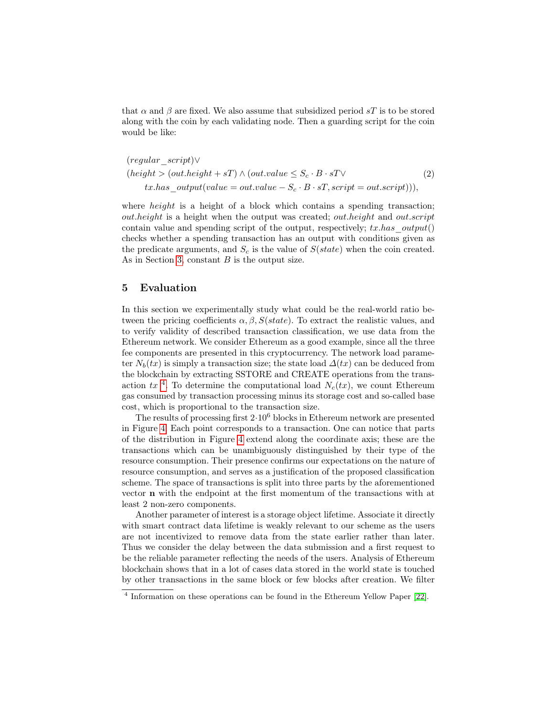that  $\alpha$  and  $\beta$  are fixed. We also assume that subsidized period sT is to be stored along with the coin by each validating node. Then a guarding script for the coin would be like:

(regular\_script)∨  $(height > (out. height + sT) \land (out. value \leq S_c \cdot B \cdot sT)$ tx.has  $output(value = out.value - S_c \cdot B \cdot sT, script = out.script))),$ (2)

where *height* is a height of a block which contains a spending transaction; out.height is a height when the output was created; out.height and out.script contain value and spending script of the output, respectively;  $tx. has$   $output()$ checks whether a spending transaction has an output with conditions given as the predicate arguments, and  $S_c$  is the value of  $S(state)$  when the coin created. As in Section [3,](#page-3-0) constant  $B$  is the output size.

## <span id="page-8-0"></span>5 Evaluation

In this section we experimentally study what could be the real-world ratio between the pricing coefficients  $\alpha, \beta, S(state)$ . To extract the realistic values, and to verify validity of described transaction classification, we use data from the Ethereum network. We consider Ethereum as a good example, since all the three fee components are presented in this cryptocurrency. The network load parameter  $N_b(tx)$  is simply a transaction size; the state load  $\Delta(tx)$  can be deduced from the blockchain by extracting SSTORE and CREATE operations from the transaction  $tx$ <sup>[4](#page-8-1)</sup>. To determine the computational load  $N_c(tx)$ , we count Ethereum gas consumed by transaction processing minus its storage cost and so-called base cost, which is proportional to the transaction size.

The results of processing first  $2\cdot10^6$  blocks in Ethereum network are presented in Figure [4.](#page-9-0) Each point corresponds to a transaction. One can notice that parts of the distribution in Figure [4](#page-9-0) extend along the coordinate axis; these are the transactions which can be unambiguously distinguished by their type of the resource consumption. Their presence confirms our expectations on the nature of resource consumption, and serves as a justification of the proposed classification scheme. The space of transactions is split into three parts by the aforementioned vector n with the endpoint at the first momentum of the transactions with at least 2 non-zero components.

Another parameter of interest is a storage object lifetime. Associate it directly with smart contract data lifetime is weakly relevant to our scheme as the users are not incentivized to remove data from the state earlier rather than later. Thus we consider the delay between the data submission and a first request to be the reliable parameter reflecting the needs of the users. Analysis of Ethereum blockchain shows that in a lot of cases data stored in the world state is touched by other transactions in the same block or few blocks after creation. We filter

<span id="page-8-1"></span><sup>&</sup>lt;sup>4</sup> Information on these operations can be found in the Ethereum Yellow Paper [\[22\]](#page-11-7).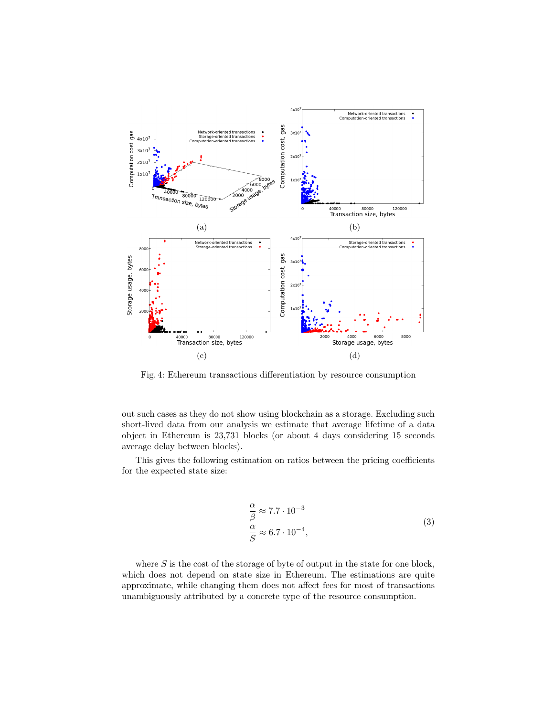<span id="page-9-0"></span>

Fig. 4: Ethereum transactions differentiation by resource consumption

out such cases as they do not show using blockchain as a storage. Excluding such short-lived data from our analysis we estimate that average lifetime of a data object in Ethereum is 23,731 blocks (or about 4 days considering 15 seconds average delay between blocks).

This gives the following estimation on ratios between the pricing coefficients for the expected state size:

$$
\frac{\alpha}{\beta} \approx 7.7 \cdot 10^{-3}
$$
  
\n
$$
\frac{\alpha}{S} \approx 6.7 \cdot 10^{-4},
$$
\n(3)

where  $S$  is the cost of the storage of byte of output in the state for one block, which does not depend on state size in Ethereum. The estimations are quite approximate, while changing them does not affect fees for most of transactions unambiguously attributed by a concrete type of the resource consumption.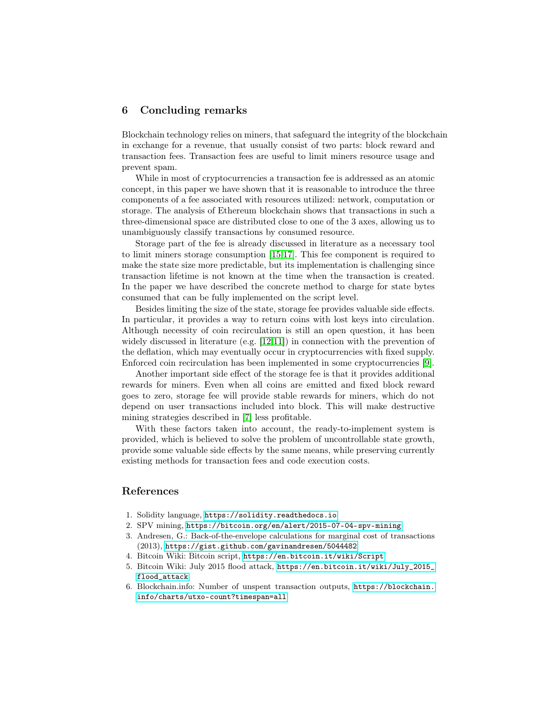### <span id="page-10-6"></span>6 Concluding remarks

Blockchain technology relies on miners, that safeguard the integrity of the blockchain in exchange for a revenue, that usually consist of two parts: block reward and transaction fees. Transaction fees are useful to limit miners resource usage and prevent spam.

While in most of cryptocurrencies a transaction fee is addressed as an atomic concept, in this paper we have shown that it is reasonable to introduce the three components of a fee associated with resources utilized: network, computation or storage. The analysis of Ethereum blockchain shows that transactions in such a three-dimensional space are distributed close to one of the 3 axes, allowing us to unambiguously classify transactions by consumed resource.

Storage part of the fee is already discussed in literature as a necessary tool to limit miners storage consumption [\[15,](#page-11-11)[17\]](#page-11-10). This fee component is required to make the state size more predictable, but its implementation is challenging since transaction lifetime is not known at the time when the transaction is created. In the paper we have described the concrete method to charge for state bytes consumed that can be fully implemented on the script level.

Besides limiting the size of the state, storage fee provides valuable side effects. In particular, it provides a way to return coins with lost keys into circulation. Although necessity of coin recirculation is still an open question, it has been widely discussed in literature (e.g. [\[12,](#page-11-13)[11\]](#page-11-14)) in connection with the prevention of the deflation, which may eventually occur in cryptocurrencies with fixed supply. Enforced coin recirculation has been implemented in some cryptocurrencies [\[9\]](#page-11-15).

Another important side effect of the storage fee is that it provides additional rewards for miners. Even when all coins are emitted and fixed block reward goes to zero, storage fee will provide stable rewards for miners, which do not depend on user transactions included into block. This will make destructive mining strategies described in [\[7\]](#page-11-2) less profitable.

With these factors taken into account, the ready-to-implement system is provided, which is believed to solve the problem of uncontrollable state growth, provide some valuable side effects by the same means, while preserving currently existing methods for transaction fees and code execution costs.

## References

- <span id="page-10-2"></span>1. Solidity language, <https://solidity.readthedocs.io>
- <span id="page-10-5"></span>2. SPV mining, <https://bitcoin.org/en/alert/2015-07-04-spv-mining>
- <span id="page-10-0"></span>3. Andresen, G.: Back-of-the-envelope calculations for marginal cost of transactions (2013), <https://gist.github.com/gavinandresen/5044482>
- <span id="page-10-1"></span>4. Bitcoin Wiki: Bitcoin script, <https://en.bitcoin.it/wiki/Script>
- <span id="page-10-4"></span>5. Bitcoin Wiki: July 2015 flood attack, [https://en.bitcoin.it/wiki/July\\_2015\\_](https://en.bitcoin.it/wiki/July_2015_flood_attack) [flood\\_attack](https://en.bitcoin.it/wiki/July_2015_flood_attack)
- <span id="page-10-3"></span>6. Blockchain.info: Number of unspent transaction outputs, [https://blockchain.](https://blockchain.info/charts/utxo-count?timespan=all) [info/charts/utxo-count?timespan=all](https://blockchain.info/charts/utxo-count?timespan=all)